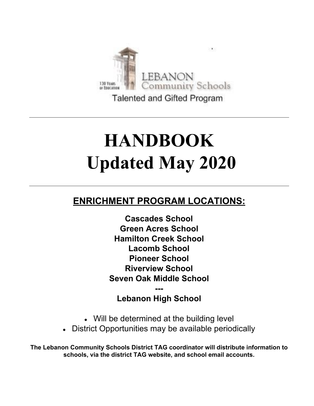

Talented and Gifted Program

# **HANDBOOK Updated May 2020**

## **ENRICHMENT PROGRAM LOCATIONS:**

**Cascades School Green Acres School Hamilton Creek School Lacomb School Pioneer School Riverview School Seven Oak Middle School**

### **--- Lebanon High School**

- Will be determined at the building level
- District Opportunities may be available periodically

**The Lebanon Community Schools District TAG coordinator will distribute information to schools, via the district TAG website, and school email accounts.**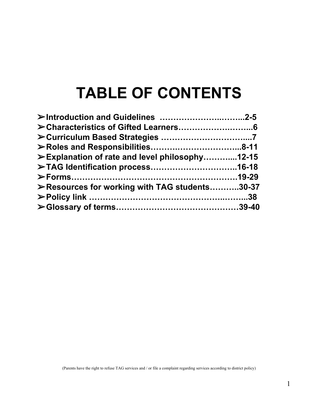## **TABLE OF CONTENTS**

| ≻Explanation of rate and level philosophy12-15 |  |
|------------------------------------------------|--|
|                                                |  |
|                                                |  |
| ≻Resources for working with TAG students30-37  |  |
|                                                |  |
|                                                |  |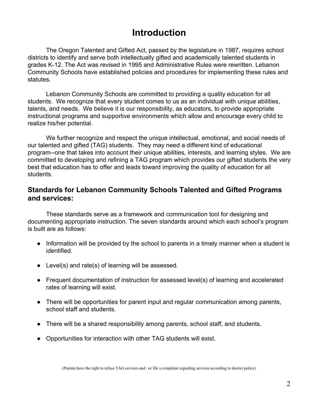## **Introduction**

The Oregon Talented and Gifted Act, passed by the legislature in 1987, requires school districts to identify and serve both intellectually gifted and academically talented students in grades K-12. The Act was revised in 1995 and Administrative Rules were rewritten. Lebanon Community Schools have established policies and procedures for implementing these rules and statutes.

Lebanon Community Schools are committed to providing a quality education for all students. We recognize that every student comes to us as an individual with unique abilities, talents, and needs. We believe it is our responsibility, as educators, to provide appropriate instructional programs and supportive environments which allow and encourage every child to realize his/her potential.

We further recognize and respect the unique intellectual, emotional, and social needs of our talented and gifted (TAG) students. They may need a different kind of educational program--one that takes into account their unique abilities, interests, and learning styles. We are committed to developing and refining a TAG program which provides our gifted students the very best that education has to offer and leads toward improving the quality of education for all students.

#### **Standards for Lebanon Community Schools Talented and Gifted Programs and services:**

These standards serve as a framework and communication tool for designing and documenting appropriate instruction. The seven standards around which each school's program is built are as follows:

- Information will be provided by the school to parents in a timely manner when a student is identified.
- Level(s) and rate(s) of learning will be assessed.
- Frequent documentation of instruction for assessed level(s) of learning and accelerated rates of learning will exist.
- There will be opportunities for parent input and regular communication among parents, school staff and students.
- There will be a shared responsibility among parents, school staff, and students.
- Opportunities for interaction with other TAG students will exist.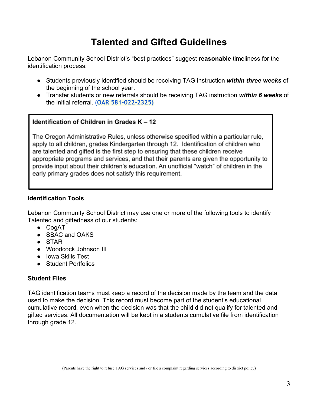## **Talented and Gifted Guidelines**

Lebanon Community School District's "best practices" suggest **reasonable** timeliness for the identification process:

- Students previously identified should be receiving TAG instruction *within three weeks* of the beginning of the school year.
- Transfer students or new referrals should be receiving TAG instruction *within 6 weeks* of the initial referral. [\(](https://secure.sos.state.or.us/oard/viewSingleRule.action?ruleVrsnRsn=145311)**[OAR 581-022-2325\)](https://secure.sos.state.or.us/oard/viewSingleRule.action?ruleVrsnRsn=145311)**

#### Identification of Children in Grades K - 12

The Oregon Administrative Rules, unless otherwise specified within a particular rule, apply to all children, grades Kindergarten through 12. Identification of children who are talented and gifted is the first step to ensuring that these children receive appropriate programs and services, and that their parents are given the opportunity to provide input about their children's education. An unofficial "watch" of children in the early primary grades does not satisfy this requirement.

#### **Identification Tools**

Lebanon Community School District may use one or more of the following tools to identify Talented and giftedness of our students:

- CogAT
- SBAC and OAKS
- STAR
- Woodcock Johnson III
- Iowa Skills Test
- **●** Student Portfolios

#### **Student Files**

TAG identification teams must keep a record of the decision made by the team and the data used to make the decision. This record must become part of the student's educational cumulative record, even when the decision was that the child did not qualify for talented and gifted services. All documentation will be kept in a students cumulative file from identification through grade 12.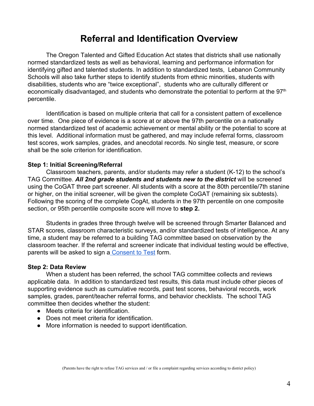## **Referral and Identification Overview**

The Oregon Talented and Gifted Education Act states that districts shall use nationally normed standardized tests as well as behavioral, learning and performance information for identifying gifted and talented students. In addition to standardized tests, Lebanon Community Schools will also take further steps to identify students from ethnic minorities, students with disabilities, students who are "twice exceptional", students who are culturally different or economically disadvantaged, and students who demonstrate the potential to perform at the 97<sup>th</sup> percentile.

Identification is based on multiple criteria that call for a consistent pattern of excellence over time. One piece of evidence is a score at or above the 97th percentile on a nationally normed standardized test of academic achievement or mental ability or the potential to score at this level. Additional information must be gathered, and may include referral forms, classroom test scores, work samples, grades, and anecdotal records. No single test, measure, or score shall be the sole criterion for identification.

#### **Step 1: Initial Screening/Referral**

Classroom teachers, parents, and/or students may refer a student (K-12) to the school's TAG Committee. *All 2nd grade students and students new to the district* will be screened using the CoGAT three part screener. All students with a score at the 80th percentile/7th stanine or higher, on the initial screener, will be given the complete CoGAT (remaining six subtests). Following the scoring of the complete CogAt, students in the 97th percentile on one composite section, or 95th percentile composite score will move to **step 2.**

Students in grades three through twelve will be screened through Smarter Balanced and STAR scores, classroom characteristic surveys, and/or standardized tests of intelligence. At any time, a student may be referred to a building TAG committee based on observation by the classroom teacher. If the referral and screener indicate that individual testing would be effective, parents will be asked to sign [a Consent to Test](https://docs.google.com/document/d/1eYzhs3g5a0N68uwkdxLY1bn1bdeMPn7xFTC-IhsZjTc/edit) form.

#### **Step 2: Data Review**

When a student has been referred, the school TAG committee collects and reviews applicable data. In addition to standardized test results, this data must include other pieces of supporting evidence such as cumulative records, past test scores, behavioral records, work samples, grades, parent/teacher referral forms, and behavior checklists. The school TAG committee then decides whether the student:

- Meets criteria for identification.
- Does not meet criteria for identification.
- More information is needed to support identification.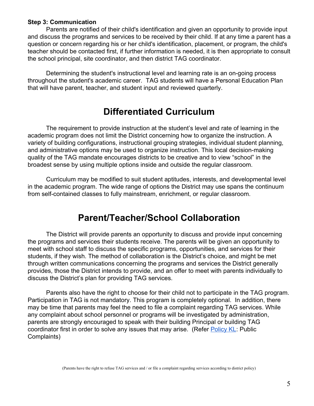#### **Step 3: Communication**

Parents are notified of their child's identification and given an opportunity to provide input and discuss the programs and services to be received by their child. If at any time a parent has a question or concern regarding his or her child's identification, placement, or program, the child's teacher should be contacted first, if further information is needed, it is then appropriate to consult the school principal, site coordinator, and then district TAG coordinator.

Determining the student's instructional level and learning rate is an on-going process throughout the student's academic career. TAG students will have a Personal Education Plan that will have parent, teacher, and student input and reviewed quarterly.

## **Differentiated Curriculum**

The requirement to provide instruction at the student's level and rate of learning in the academic program does not limit the District concerning how to organize the instruction. A variety of building configurations, instructional grouping strategies, individual student planning, and administrative options may be used to organize instruction. This local decision-making quality of the TAG mandate encourages districts to be creative and to view "school" in the broadest sense by using multiple options inside and outside the regular classroom.

Curriculum may be modified to suit student aptitudes, interests, and developmental level in the academic program. The wide range of options the District may use spans the continuum from self-contained classes to fully mainstream, enrichment, or regular classroom.

## **Parent/Teacher/School Collaboration**

The District will provide parents an opportunity to discuss and provide input concerning the programs and services their students receive. The parents will be given an opportunity to meet with school staff to discuss the specific programs, opportunities, and services for their students, if they wish. The method of collaboration is the District's choice, and might be met through written communications concerning the programs and services the District generally provides, those the District intends to provide, and an offer to meet with parents individually to discuss the District's plan for providing TAG services.

Parents also have the right to choose for their child not to participate in the TAG program. Participation in TAG is not mandatory. This program is completely optional. In addition, there may be time that parents may feel the need to file a complaint regarding TAG services. While any complaint about school personnel or programs will be investigated by administration, parents are strongly encouraged to speak with their building Principal or building TAG coordinator first in order to solve any issues that may arise. (Refer [Policy KL](http://lebanon.k12.or.us/media/2020/03/KL.pdf): Public Complaints)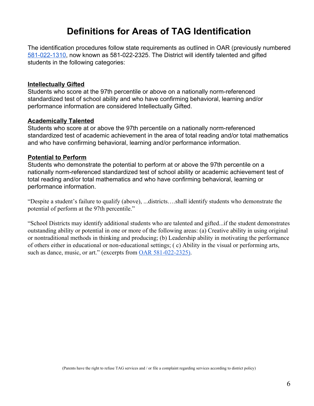## **Definitions for Areas of TAG Identification**

The identification procedures follow state requirements as outlined in OAR (previously numbered [581-022-1310,](https://secure.sos.state.or.us/oard/viewSingleRule.action?ruleVrsnRsn=145311) now known as 581-022-2325. The District will identify talented and gifted students in the following categories:

#### **Intellectually Gifted**

Students who score at the 97th percentile or above on a nationally norm-referenced standardized test of school ability and who have confirming behavioral, learning and/or performance information are considered Intellectually Gifted.

#### **Academically Talented**

Students who score at or above the 97th percentile on a nationally norm-referenced standardized test of academic achievement in the area of total reading and/or total mathematics and who have confirming behavioral, learning and/or performance information.

#### **Potential to Perform**

Students who demonstrate the potential to perform at or above the 97th percentile on a nationally norm-referenced standardized test of school ability or academic achievement test of total reading and/or total mathematics and who have confirming behavioral, learning or performance information.

"Despite a student's failure to qualify (above), ...districts….shall identify students who demonstrate the potential of perform at the 97th percentile."

"School Districts may identify additional students who are talented and gifted...if the student demonstrates outstanding ability or potential in one or more of the following areas: (a) Creative ability in using original or nontraditional methods in thinking and producing; (b) Leadership ability in motivating the performance of others either in educational or non-educational settings; ( c) Ability in the visual or performing arts, such as dance, music, or art." (excerpts from [OAR 581-022-2325\)](https://secure.sos.state.or.us/oard/viewSingleRule.action?ruleVrsnRsn=145311).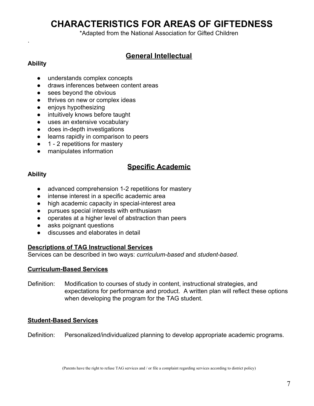## **CHARACTERISTICS FOR AREAS OF GIFTEDNESS**

\*Adapted from the National Association for Gifted Children

### **General Intellectual**

#### **Ability**

.

- understands complex concepts
- draws inferences between content areas
- sees beyond the obvious
- thrives on new or complex ideas
- enjoys hypothesizing
- intuitively knows before taught
- uses an extensive vocabulary
- does in-depth investigations
- learns rapidly in comparison to peers
- 1 2 repetitions for mastery
- manipulates information

### **Specific Academic**

#### **Ability**

- advanced comprehension 1-2 repetitions for mastery
- intense interest in a specific academic area
- high academic capacity in special-interest area
- pursues special interests with enthusiasm
- operates at a higher level of abstraction than peers
- asks poignant questions
- discusses and elaborates in detail

#### **Descriptions of TAG Instructional Services**

Services can be described in two ways: *curriculum-based* and *student-based*.

#### **Curriculum-Based Services**

Definition: Modification to courses of study in content, instructional strategies, and expectations for performance and product. A written plan will reflect these options when developing the program for the TAG student.

#### **Student-Based Services**

Definition: Personalized/individualized planning to develop appropriate academic programs.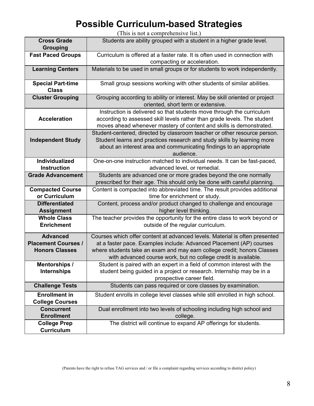## **Possible Curriculum-based Strategies**

(This is not a comprehensive list.)

| <b>Cross Grade</b><br><b>Grouping</b>                                  | Students are ability grouped with a student in a higher grade level.                                                                                                                                                                                                                            |
|------------------------------------------------------------------------|-------------------------------------------------------------------------------------------------------------------------------------------------------------------------------------------------------------------------------------------------------------------------------------------------|
| <b>Fast Paced Groups</b>                                               | Curriculum is offered at a faster rate. It is often used in connection with<br>compacting or acceleration.                                                                                                                                                                                      |
| <b>Learning Centers</b>                                                | Materials to be used in small groups or for students to work independently.                                                                                                                                                                                                                     |
| <b>Special Part-time</b><br><b>Class</b>                               | Small group sessions working with other students of similar abilities.                                                                                                                                                                                                                          |
| <b>Cluster Grouping</b>                                                | Grouping according to ability or interest. May be skill oriented or project<br>oriented, short term or extensive.                                                                                                                                                                               |
| <b>Acceleration</b>                                                    | Instruction is delivered so that students move through the curriculum<br>according to assessed skill levels rather than grade levels. The student<br>moves ahead whenever mastery of content and skills is demonstrated.                                                                        |
| <b>Independent Study</b>                                               | Student-centered, directed by classroom teacher or other resource person.<br>Student learns and practices research and study skills by learning more<br>about an interest area and communicating findings to an appropriate<br>audience.                                                        |
| Individualized<br><b>Instruction</b>                                   | One-on-one instruction matched to individual needs. It can be fast-paced,<br>advanced level, or remedial.                                                                                                                                                                                       |
| <b>Grade Advancement</b>                                               | Students are advanced one or more grades beyond the one normally<br>prescribed for their age. This should only be done with careful planning.                                                                                                                                                   |
| <b>Compacted Course</b><br>or Curriculum                               | Content is compacted into abbreviated time. The result provides additional<br>time for enrichment or study.                                                                                                                                                                                     |
| <b>Differentiated</b><br><b>Assignment</b>                             | Content, process and/or product changed to challenge and encourage<br>higher level thinking.                                                                                                                                                                                                    |
| <b>Whole Class</b><br><b>Enrichment</b>                                | The teacher provides the opportunity for the entire class to work beyond or<br>outside of the regular curriculum.                                                                                                                                                                               |
| <b>Advanced</b><br><b>Placement Courses /</b><br><b>Honors Classes</b> | Courses which offer content at advanced levels. Material is often presented<br>at a faster pace. Examples include: Advanced Placement (AP) courses<br>where students take an exam and may earn college credit; honors Classes<br>with advanced course work, but no college credit is available. |
| <b>Mentorships /</b><br><b>Internships</b>                             | Student is paired with an expert in a field of common interest with the<br>student being guided in a project or research. Internship may be in a<br>prospective career field.                                                                                                                   |
| <b>Challenge Tests</b>                                                 | Students can pass required or core classes by examination.                                                                                                                                                                                                                                      |
| <b>Enrollment in</b><br><b>College Courses</b>                         | Student enrolls in college level classes while still enrolled in high school.                                                                                                                                                                                                                   |
| <b>Concurrent</b><br><b>Enrollment</b>                                 | Dual enrollment into two levels of schooling including high school and<br>college.                                                                                                                                                                                                              |
| <b>College Prep</b><br><b>Curriculum</b>                               | The district will continue to expand AP offerings for students.                                                                                                                                                                                                                                 |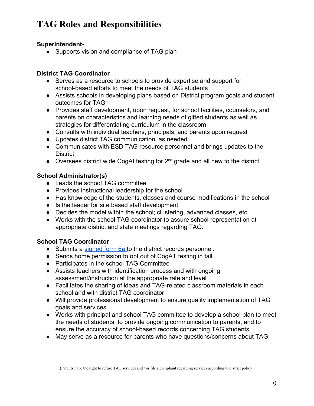## **TAG Roles and Responsibilities**

#### **Superintendent-**

• Supports vision and compliance of TAG plan

#### **District TAG Coordinator**

- Serves as a resource to schools to provide expertise and support for school-based efforts to meet the needs of TAG students
- Assists schools in developing plans based on District program goals and student outcomes for TAG
- Provides staff development, upon request, for school facilities, counselors, and parents on characteristics and learning needs of gifted students as well as strategies for differentiating curriculum in the classroom
- Consults with individual teachers, principals, and parents upon request
- Updates district TAG communication, as needed
- Communicates with ESD TAG resource personnel and brings updates to the District.
- Oversees district wide CogAt testing for 2<sup>nd</sup> grade and all new to the district.

### **School Administrator(s)**

- Leads the school TAG committee
- Provides instructional leadership for the school
- Has knowledge of the students, classes and course modifications in the school
- Is the leader for site based staff development
- Decides the model within the school; clustering, advanced classes, etc.
- Works with the school TAG coordinator to assure school representation at appropriate district and state meetings regarding TAG.

#### **School TAG Coordinator**

- Submits a [signed form 6a t](https://docs.google.com/document/d/1W_jiDaFgXTEEuvd2-EQ96BjPJ361yV73BSGGuW10g3Q/edit)o the district records personnel.
- Sends home permission to opt out of CogAT testing in fall.
- Participates in the school TAG Committee
- Assists teachers with identification process and with ongoing assessment/instruction at the appropriate rate and level
- Facilitates the sharing of ideas and TAG-related classroom materials in each school and with district TAG coordinator
- Will provide professional development to ensure quality implementation of TAG goals and services.
- Works with principal and school TAG committee to develop a school plan to meet the needs of students, to provide ongoing communication to parents, and to ensure the accuracy of school-based records concerning TAG students
- May serve as a resource for parents who have questions/concerns about TAG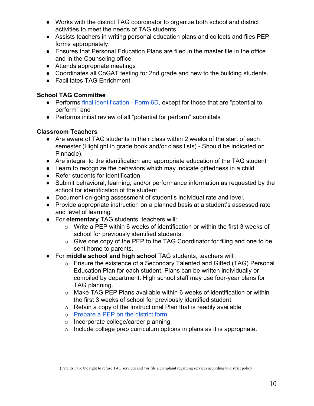- Works with the district TAG coordinator to organize both school and district activities to meet the needs of TAG students
- Assists teachers in writing personal education plans and collects and files PEP forms appropriately.
- Ensures that Personal Education Plans are filed in the master file in the office and in the Counseling office
- Attends appropriate meetings
- Coordinates all CoGAT testing for 2nd grade and new to the building students.
- Facilitates TAG Enrichment

#### **School TAG Committee**

- Performs [final identification Form 6D,](https://docs.google.com/document/d/1ibjabmlJtHl5wzamH8RTifrni5AC6_IoM6LL190YeIA/edit?ts=5d0a7334) except for those that are "potential to perform" and
- Performs initial review of all "potential for perform" submittals

#### **Classroom Teachers**

- Are aware of TAG students in their class within 2 weeks of the start of each semester (Highlight in grade book and/or class lists) - Should be indicated on Pinnacle).
- Are integral to the identification and appropriate education of the TAG student
- Learn to recognize the behaviors which may indicate giftedness in a child
- Refer students for identification
- Submit behavioral, learning, and/or performance information as requested by the school for identification of the student
- Document on-going assessment of student's individual rate and level.
- Provide appropriate instruction on a planned basis at a student's assessed rate and level of learning
- For **elementary** TAG students, teachers will:
	- o Write a PEP within 6 weeks of identification or within the first 3 weeks of school for previously identified students.
	- o Give one copy of the PEP to the TAG Coordinator for filing and one to be sent home to parents.
- For **middle school and high school** TAG students, teachers will:
	- o Ensure the existence of a Secondary Talented and Gifted (TAG) Personal Education Plan for each student. Plans can be written individually or compiled by department. High school staff may use four-year plans for TAG planning.
	- o Make TAG PEP Plans available within 6 weeks of identification or within the first 3 weeks of school for previously identified student.
	- $\circ$  Retain a copy of the Instructional Plan that is readily available
	- o [Prepare a PEP on the district form](https://docs.google.com/document/d/1TJmbphxAkOX_GZnKqCHpf4_l8a7_tZSV9aQ4C0CImpM/edit)
	- o Incorporate college/career planning
	- $\circ$  Include college prep curriculum options in plans as it is appropriate.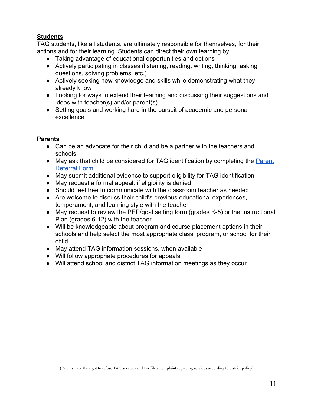#### **Students**

TAG students, like all students, are ultimately responsible for themselves, for their actions and for their learning. Students can direct their own learning by:

- Taking advantage of educational opportunities and options
- Actively participating in classes (listening, reading, writing, thinking, asking questions, solving problems, etc.)
- Actively seeking new knowledge and skills while demonstrating what they already know
- Looking for ways to extend their learning and discussing their suggestions and ideas with teacher(s) and/or parent(s)
- Setting goals and working hard in the pursuit of academic and personal excellence

#### **Parents**

- Can be an advocate for their child and be a partner with the teachers and schools
- May ask that child be considered for TAG identification by completing the [Parent](https://docs.google.com/document/d/193YSfp9335tLVNCIo3-772qju_ZBamSAWqPMCFfKSMU/edit) [Referral Form](https://docs.google.com/document/d/193YSfp9335tLVNCIo3-772qju_ZBamSAWqPMCFfKSMU/edit)
- May submit additional evidence to support eligibility for TAG identification
- May request a formal appeal, if eligibility is denied
- Should feel free to communicate with the classroom teacher as needed
- Are welcome to discuss their child's previous educational experiences, temperament, and learning style with the teacher
- May request to review the PEP/goal setting form (grades K-5) or the Instructional Plan (grades 6-12) with the teacher
- Will be knowledgeable about program and course placement options in their schools and help select the most appropriate class, program, or school for their child
- May attend TAG information sessions, when available
- Will follow appropriate procedures for appeals
- Will attend school and district TAG information meetings as they occur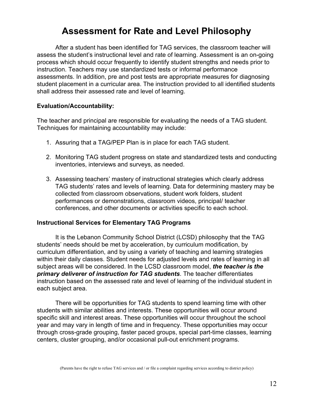## **Assessment for Rate and Level Philosophy**

After a student has been identified for TAG services, the classroom teacher will assess the student's instructional level and rate of learning. Assessment is an on-going process which should occur frequently to identify student strengths and needs prior to instruction. Teachers may use standardized tests or informal performance assessments. In addition, pre and post tests are appropriate measures for diagnosing student placement in a curricular area. The instruction provided to all identified students shall address their assessed rate and level of learning.

#### **Evaluation/Accountability:**

The teacher and principal are responsible for evaluating the needs of a TAG student. Techniques for maintaining accountability may include:

- 1. Assuring that a TAG/PEP Plan is in place for each TAG student.
- 2. Monitoring TAG student progress on state and standardized tests and conducting inventories, interviews and surveys, as needed.
- 3. Assessing teachers' mastery of instructional strategies which clearly address TAG students' rates and levels of learning. Data for determining mastery may be collected from classroom observations, student work folders, student performances or demonstrations, classroom videos, principal/ teacher conferences, and other documents or activities specific to each school.

#### **Instructional Services for Elementary TAG Programs**

It is the Lebanon Community School District (LCSD) philosophy that the TAG students' needs should be met by acceleration, by curriculum modification, by curriculum differentiation, and by using a variety of teaching and learning strategies within their daily classes. Student needs for adjusted levels and rates of learning in all subject areas will be considered. In the LCSD classroom model, *the teacher is the primary deliverer of instruction for TAG students*. The teacher differentiates instruction based on the assessed rate and level of learning of the individual student in each subject area.

There will be opportunities for TAG students to spend learning time with other students with similar abilities and interests. These opportunities will occur around specific skill and interest areas. These opportunities will occur throughout the school year and may vary in length of time and in frequency. These opportunities may occur through cross-grade grouping, faster paced groups, special part-time classes, learning centers, cluster grouping, and/or occasional pull-out enrichment programs.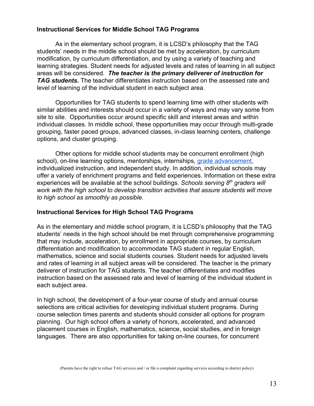#### **Instructional Services for Middle School TAG Programs**

As in the elementary school program, it is LCSD's philosophy that the TAG students' needs in the middle school should be met by acceleration, by curriculum modification, by curriculum differentiation, and by using a variety of teaching and learning strategies. Student needs for adjusted levels and rates of learning in all subject areas will be considered. *The teacher is the primary deliverer of instruction for TAG students.* The teacher differentiates instruction based on the assessed rate and level of learning of the individual student in each subject area.

Opportunities for TAG students to spend learning time with other students with similar abilities and interests should occur in a variety of ways and may vary some from site to site. Opportunities occur around specific skill and interest areas and within individual classes. In middle school, these opportunities may occur through multi-grade grouping, faster paced groups, advanced classes, in-class learning centers, challenge options, and cluster grouping.

Other options for middle school students may be concurrent enrollment (high school), on-line learning options, mentorships, internships, [grade advancement,](https://docs.google.com/document/d/1Hth8cnw2VISkIbiV_Ler4lqtTYMJvgt7BzaJjvaLhxk/edit?usp=sharing) individualized instruction, and independent study. In addition, individual schools may offer a variety of enrichment programs and field experiences. Information on these extra experiences will be available at the school buildings. *Schools serving 8th graders will work with the high school to develop transition activities that assure students will move to high school as smoothly as possible.*

#### **Instructional Services for High School TAG Programs**

As in the elementary and middle school program, it is LCSD's philosophy that the TAG students' needs in the high school should be met through comprehensive programming that may include, acceleration, by enrollment in appropriate courses, by curriculum differentiation and modification to accommodate TAG student in regular English, mathematics, science and social students courses. Student needs for adjusted levels and rates of learning in all subject areas will be considered. The teacher is the primary deliverer of instruction for TAG students. The teacher differentiates and modifies instruction based on the assessed rate and level of learning of the individual student in each subject area.

In high school, the development of a four-year course of study and annual course selections are critical activities for developing individual student programs. During course selection times parents and students should consider all options for program planning. Our high school offers a variety of honors, accelerated, and advanced placement courses in English, mathematics, science, social studies, and in foreign languages. There are also opportunities for taking on-line courses, for concurrent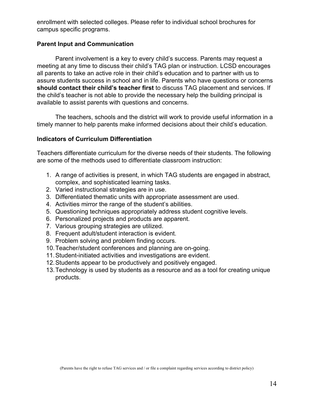enrollment with selected colleges. Please refer to individual school brochures for campus specific programs.

#### **Parent Input and Communication**

Parent involvement is a key to every child's success. Parents may request a meeting at any time to discuss their child's TAG plan or instruction. LCSD encourages all parents to take an active role in their child's education and to partner with us to assure students success in school and in life. Parents who have questions or concerns **should contact their child's teacher first** to discuss TAG placement and services. If the child's teacher is not able to provide the necessary help the building principal is available to assist parents with questions and concerns.

The teachers, schools and the district will work to provide useful information in a timely manner to help parents make informed decisions about their child's education.

#### **Indicators of Curriculum Differentiation**

Teachers differentiate curriculum for the diverse needs of their students. The following are some of the methods used to differentiate classroom instruction:

- 1. A range of activities is present, in which TAG students are engaged in abstract, complex, and sophisticated learning tasks.
- 2. Varied instructional strategies are in use.
- 3. Differentiated thematic units with appropriate assessment are used.
- 4. Activities mirror the range of the student's abilities.
- 5. Questioning techniques appropriately address student cognitive levels.
- 6. Personalized projects and products are apparent.
- 7. Various grouping strategies are utilized.
- 8. Frequent adult/student interaction is evident.
- 9. Problem solving and problem finding occurs.
- 10.Teacher/student conferences and planning are on-going.
- 11.Student-initiated activities and investigations are evident.
- 12.Students appear to be productively and positively engaged.
- 13.Technology is used by students as a resource and as a tool for creating unique products.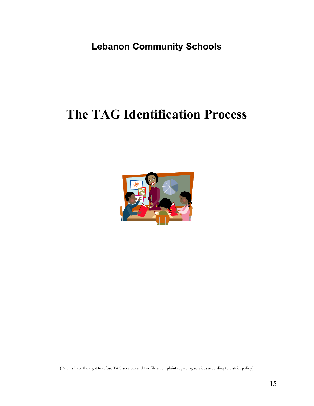**Lebanon Community Schools**

## **The TAG Identification Process**

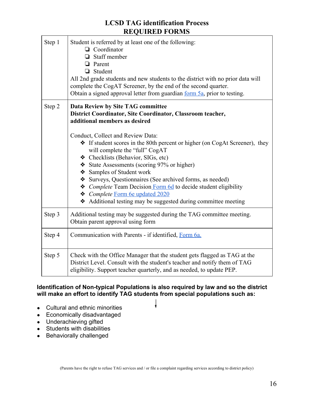#### **LCSD TAG identification Process REQUIRED FORMS**

| Step 1 | Student is referred by at least one of the following:<br>$\Box$ Coordinator<br>$\Box$ Staff member<br>$\Box$ Parent<br>Student<br>All 2nd grade students and new students to the district with no prior data will<br>complete the CogAT Screener, by the end of the second quarter.<br>Obtain a signed approval letter from guardian <u>form 5a</u> , prior to testing.                                                                                                                                        |  |  |
|--------|----------------------------------------------------------------------------------------------------------------------------------------------------------------------------------------------------------------------------------------------------------------------------------------------------------------------------------------------------------------------------------------------------------------------------------------------------------------------------------------------------------------|--|--|
| Step 2 | Data Review by Site TAG committee<br>District Coordinator, Site Coordinator, Classroom teacher,<br>additional members as desired                                                                                                                                                                                                                                                                                                                                                                               |  |  |
|        | Conduct, Collect and Review Data:<br>* If student scores in the 80th percent or higher (on CogAt Screener), they<br>will complete the "full" CogAT<br>❖ Checklists (Behavior, SIGs, etc)<br>State Assessments (scoring 97% or higher)<br>❖ Samples of Student work<br>Surveys, Questionnaires (See archived forms, as needed)<br><i><b>❖</b> Complete</i> Team Decision Form 6d to decide student eligibility<br>Complete Form 6e updated 2020<br>Additional testing may be suggested during committee meeting |  |  |
| Step 3 | Additional testing may be suggested during the TAG committee meeting.<br>Obtain parent approval using form                                                                                                                                                                                                                                                                                                                                                                                                     |  |  |
| Step 4 | Communication with Parents - if identified, Form 6a.                                                                                                                                                                                                                                                                                                                                                                                                                                                           |  |  |
| Step 5 | Check with the Office Manager that the student gets flagged as TAG at the<br>District Level. Consult with the student's teacher and notify them of TAG<br>eligibility. Support teacher quarterly, and as needed, to update PEP.                                                                                                                                                                                                                                                                                |  |  |

#### **Identification of Non-typical Populations is also required by law and so the district will make an effort to identify TAG students from special populations such as:**

- Cultural and ethnic minorities
- Economically disadvantaged
- Underachieving gifted
- Students with disabilities
- Behaviorally challenged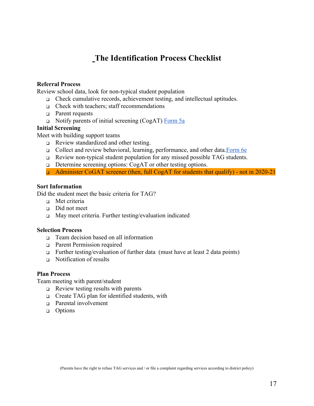### **The Identification Process Checklist**

#### **Referral Process**

Review school data, look for non-typical student population

- ❑ Check cumulative records, achievement testing, and intellectual aptitudes.
- ❑ Check with teachers; staff recommendations
- ❑ Parent requests
- ❑ Notify parents of initial screening (CogAT) [Form 5a](https://docs.google.com/document/d/1eYzhs3g5a0N68uwkdxLY1bn1bdeMPn7xFTC-IhsZjTc/edit)

#### **Initial Screening**

Meet with building support teams

- ❑ Review standardized and other testing.
- ❑ Collect and review behavioral, learning, performance, and other data.[Form 6e](https://docs.google.com/document/d/1DCYDMa2w2xsKjg_8Volu6gofdO6VOGrPmbarBdDPAtU/edit)
- ❑ Review non-typical student population for any missed possible TAG students.
- ❑ Determine screening options: CogAT or other testing options.
- ❑ Administer CoGAT screener (then, full CogAT for students that qualify) not in 2020-21

#### **Sort Information**

Did the student meet the basic criteria for TAG?

- ❑ Met criteria
- ❑ Did not meet
- ❑ May meet criteria. Further testing/evaluation indicated

#### **Selection Process**

- ❑ Team decision based on all information
- ❑ Parent Permission required
- ❑ Further testing/evaluation of further data (must have at least 2 data points)
- ❑ Notification of results

#### **Plan Process**

Team meeting with parent/student

- ❑ Review testing results with parents
- ❑ Create TAG plan for identified students, with
- □ Parental involvement
- ❑ Options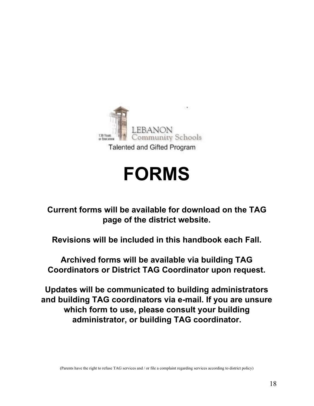

# **FORMS**

**Current forms will be available for download on the TAG page of the district website.**

**Revisions will be included in this handbook each Fall.**

**Archived forms will be available via building TAG Coordinators or District TAG Coordinator upon request.**

**Updates will be communicated to building administrators and building TAG coordinators via e-mail. If you are unsure which form to use, please consult your building administrator, or building TAG coordinator.**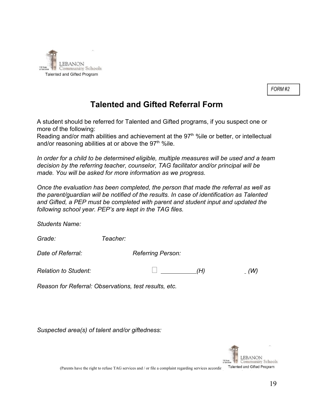

FORM#2

### **Talented and Gifted Referral Form**

A student should be referred for Talented and Gifted programs, if you suspect one or more of the following:

Reading and/or math abilities and achievement at the 97<sup>th</sup> %ile or better, or intellectual and/or reasoning abilities at or above the 97<sup>th %</sup>ile.

*In order for a child to be determined eligible, multiple measures will be used and a team decision by the referring teacher, counselor, TAG facilitator and/or principal will be made. You will be asked for more information as we progress.*

*Once the evaluation has been completed, the person that made the referral as well as the parent/guardian will be notified of the results. In case of identification as Talented and Gifted, a PEP must be completed with parent and student input and updated the following school year. PEP's are kept in the TAG files.*

*Students Name:*

| Grade: | Teacher: |
|--------|----------|
|        |          |

**Date of Referral:** Referring Person:

*Relation to Student: (H) (W)*

*Reason for Referral: Observations, test results, etc.*

*Suspected area(s) of talent and/or giftedness:*



(Parents have the right to refuse TAG services and / or file a complaint regarding services according the diffed Program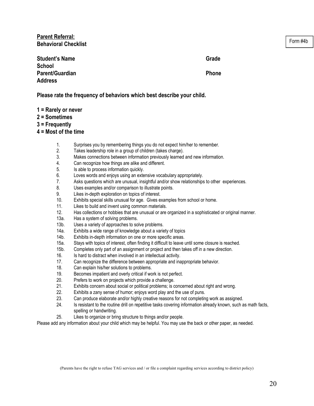**Parent Referral: Behavioral Checklist**

Form #4b

| <b>Student's Name</b> | Grade        |
|-----------------------|--------------|
| <b>School</b>         |              |
| Parent/Guardian       | <b>Phone</b> |
| <b>Address</b>        |              |

**Please rate the frequency of behaviors which best describe your child.**

- **1 = Rarely or never**
- **2 = Sometimes**

**3 = Frequently**

- **4 = Most of the time**
	- 1. Surprises you by remembering things you do not expect him/her to remember.
	- 2. Takes leadership role in a group of children (takes charge).
	- 3. Makes connections between information previously learned and new information.
	- 4. Can recognize how things are alike and different.
	- 5. Is able to process information quickly.
	- 6. Loves words and enjoys using an extensive vocabulary appropriately.
	- 7. Asks questions which are unusual, insightful and/or show relationships to other experiences.
	- 8. Uses examples and/or comparison to illustrate points.
	- 9. Likes in-depth exploration on topics of interest.
	- 10. Exhibits special skills unusual for age. Gives examples from school or home.
	- 11. Likes to build and invent using common materials.
	- 12. Has collections or hobbies that are unusual or are organized in a sophisticated or original manner.
	- 13a. Has a system of solving problems.
	- 13b. Uses a variety of approaches to solve problems.
	- 14a. Exhibits a wide range of knowledge about a variety of topics
	- 14b. Exhibits in-depth information on one or more specific areas.
	- 15a. Stays with topics of interest, often finding it difficult to leave until some closure is reached.
	- 15b. Completes only part of an assignment or project and then takes off in a new direction.
	- 16. Is hard to distract when involved in an intellectual activity.
	- 17. Can recognize the difference between appropriate and inappropriate behavior.
	- 18. Can explain his/her solutions to problems.
	- 19. Becomes impatient and overly critical if work is not perfect.
	- 20. Prefers to work on projects which provide a challenge.
	- 21. Exhibits concern about social or political problems; is concerned about right and wrong.
	- 22. Exhibits a zany sense of humor; enjoys word play and the use of puns.
	- 23. Can produce elaborate and/or highly creative reasons for not completing work as assigned.
	- 24. Is resistant to the routine drill on repetitive tasks covering information already known, such as math facts, spelling or handwriting.
	- 25. Likes to organize or bring structure to things and/or people.

Please add any information about your child which may be helpful. You may use the back or other paper, as needed.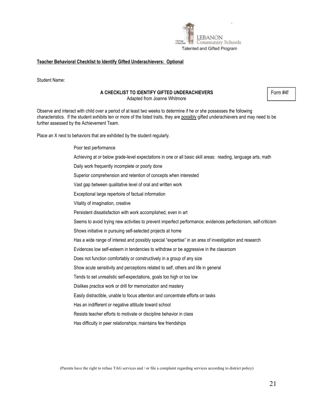

#### **Teacher Behavioral Checklist to Identify Gifted Underachievers: Optional**

Student Name:

#### **A CHECKLIST TO IDENTIFY GIFTED UNDERACHIEVERS**

Adapted from Joanne Whitmore

Observe and interact with child over a period of at least two weeks to determine if he or she possesses the following characteristics. If the student exhibits ten or more of the listed traits, they are possibly gifted underachievers and may need to be further assessed by the Achievement Team.

Place an X next to behaviors that are exhibited by the student regularly.

Poor test performance Achieving at or below grade-level expectations in one or all basic skill areas: reading, language arts, math Daily work frequently incomplete or poorly done Superior comprehension and retention of concepts when interested Vast gap between qualitative level of oral and written work Exceptional large repertoire of factual information Vitality of imagination, creative Persistent dissatisfaction with work accomplished, even in art Seems to avoid trying new activities to prevent imperfect performance; evidences perfectionism, self-criticism Shows initiative in pursuing self-selected projects at home Has a wide range of interest and possibly special "expertise" in an area of investigation and research Evidences low self-esteem in tendencies to withdraw or be aggressive in the classroom Does not function comfortably or constructively in a group of any size Show acute sensitivity and perceptions related to self, others and life in general Tends to set unrealistic self-expectations, goals too high or too low Dislikes practice work or drill for memorization and mastery Easily distractible, unable to focus attention and concentrate efforts on tasks Has an indifferent or negative attitude toward school Resists teacher efforts to motivate or discipline behavior in class Has difficulty in peer relationships; maintains few friendships

Form #4f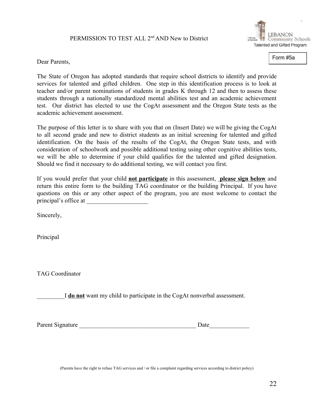#### PERMISSION TO TEST ALL 2<sup>nd</sup> AND New to District



Form #5a

Dear Parents,

The State of Oregon has adopted standards that require school districts to identify and provide services for talented and gifted children. One step in this identification process is to look at teacher and/or parent nominations of students in grades K through 12 and then to assess these students through a nationally standardized mental abilities test and an academic achievement test. Our district has elected to use the CogAt assessment and the Oregon State tests as the academic achievement assessment.

The purpose of this letter is to share with you that on (Insert Date) we will be giving the CogAt to all second grade and new to district students as an initial screening for talented and gifted identification. On the basis of the results of the CogAt, the Oregon State tests, and with consideration of schoolwork and possible additional testing using other cognitive abilities tests, we will be able to determine if your child qualifies for the talented and gifted designation. Should we find it necessary to do additional testing, we will contact you first.

If you would prefer that your child **not participate** in this assessment, **please sign below** and return this entire form to the building TAG coordinator or the building Principal. If you have questions on this or any other aspect of the program, you are most welcome to contact the principal's office at

Sincerely,

Principal

TAG Coordinator

\_\_\_\_\_\_\_\_\_I **do not** want my child to participate in the CogAt nonverbal assessment.

Parent Signature Date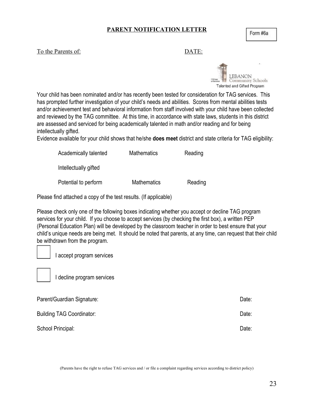#### **PARENT NOTIFICATION LETTER**

#### To the Parents of: DATE:



Your child has been nominated and/or has recently been tested for consideration for TAG services. This has prompted further investigation of your child's needs and abilities. Scores from mental abilities tests and/or achievement test and behavioral information from staff involved with your child have been collected and reviewed by the TAG committee. At this time, in accordance with state laws, students in this district are assessed and serviced for being academically talented in math and/or reading and for being intellectually gifted.

Evidence available for your child shows that he/she **does meet** district and state criteria for TAG eligibility:

| Academically talented | <b>Mathematics</b> | Reading |
|-----------------------|--------------------|---------|
| Intellectually gifted |                    |         |
| Potential to perform  | <b>Mathematics</b> | Reading |

Please find attached a copy of the test results. (If applicable)

Please check only one of the following boxes indicating whether you accept or decline TAG program services for your child. If you choose to accept services (by checking the first box), a written PEP (Personal Education Plan) will be developed by the classroom teacher in order to best ensure that your child's unique needs are being met. It should be noted that parents, at any time, can request that their child be withdrawn from the program.

I accept program services



I decline program services

| Parent/Guardian Signature:       | Date: |
|----------------------------------|-------|
| <b>Building TAG Coordinator:</b> | Date: |
| School Principal:                | Date: |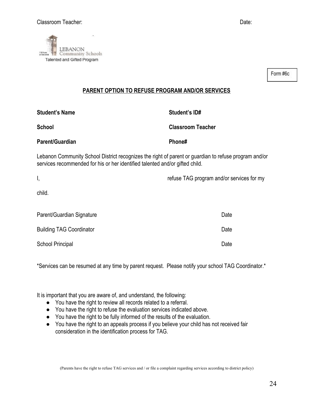

Form #6c

#### **PARENT OPTION TO REFUSE PROGRAM AND/OR SERVICES**

| <b>Student's Name</b>                                                                                                                                                                 | Student's ID#                             |
|---------------------------------------------------------------------------------------------------------------------------------------------------------------------------------------|-------------------------------------------|
| <b>School</b>                                                                                                                                                                         | <b>Classroom Teacher</b>                  |
| Parent/Guardian                                                                                                                                                                       | Phone#                                    |
| Lebanon Community School District recognizes the right of parent or guardian to refuse program and/or<br>services recommended for his or her identified talented and/or gifted child. |                                           |
| I,                                                                                                                                                                                    | refuse TAG program and/or services for my |
| child.                                                                                                                                                                                |                                           |
| Parent/Guardian Signature                                                                                                                                                             | Date                                      |
| <b>Building TAG Coordinator</b>                                                                                                                                                       | Date                                      |

School Principal Date Date Contract and Contract and Contract Date Date Date

\*Services can be resumed at any time by parent request. Please notify your school TAG Coordinator.\*

It is important that you are aware of, and understand, the following:

- You have the right to review all records related to a referral.
- You have the right to refuse the evaluation services indicated above.
- You have the right to be fully informed of the results of the evaluation.
- You have the right to an appeals process if you believe your child has not received fair consideration in the identification process for TAG.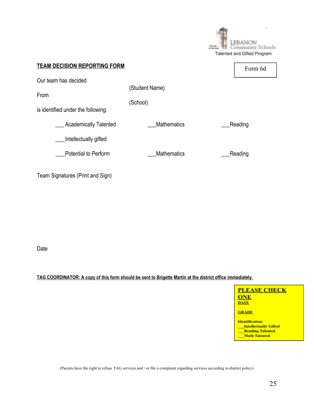|                                                                    |                            | $\mathbf{r}$<br>LEBANON<br>130 YEAR<br>ommunity Schools<br>Talented and Gifted Program |
|--------------------------------------------------------------------|----------------------------|----------------------------------------------------------------------------------------|
| <b>TEAM DECISION REPORTING FORM</b>                                |                            | Form 6d                                                                                |
| Our team has decided<br>From<br>is identified under the following. | (Student Name)<br>(School) |                                                                                        |
| <b>Academically Talented</b><br>Intellectually gifted              | <b>Mathematics</b>         | Reading                                                                                |
| Potential to Perform                                               | <b>Mathematics</b>         | Reading                                                                                |
| Team Signatures (Print and Sign)                                   |                            |                                                                                        |

Date

TAG COORDINATOR: A copy of this form should be sent to Brigette Martin at the district office immediately.

**PLEASE CHECK** ONE **DATE** 

**GRADE** 

**Identification:** Intellectually Gifted<br>Reading Talented<br>Math Talented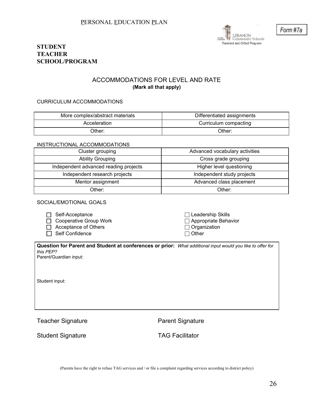

#### **STUDENT TEACHER SCHOOL/PROGRAM**

#### ACCOMMODATIONS FOR LEVEL AND RATE **(Mark all that apply)**

#### CURRICULUM ACCOMMODATIONS

| More complex/abstract materials | Differentiated assignments |
|---------------------------------|----------------------------|
| Acceleration                    | Curriculum compacting      |
| Dther:                          | Other:                     |

#### INSTRUCTIONAL ACCOMMODATIONS

| Cluster grouping                                            | Advanced vocabulary activities |  |
|-------------------------------------------------------------|--------------------------------|--|
| <b>Ability Grouping</b>                                     | Cross grade grouping           |  |
| Independent advanced reading projects                       | Higher level questioning       |  |
| Independent research projects<br>Independent study projects |                                |  |
| Mentor assignment                                           | Advanced class placement       |  |
| วther:                                                      | Other:                         |  |

#### SOCIAL/EMOTIONAL GOALS

| $\Box$ Self-Acceptance        | $\Box$ Leadership Skills |
|-------------------------------|--------------------------|
| $\Box$ Cooperative Group Work | □ Appropriate Behavior   |
| $\Box$ Acceptance of Others   | $\Box$ Organization      |
| $\Box$ Self Confidence        | $\Box$ Other             |

**Question for Parent and Student at conferences or prior:** *What additional input would you like to offer for this PEP?* Parent/Guardian input:

Student input:

Teacher Signature **Parent Signature** Parent Signature

Student Signature TAG Facilitator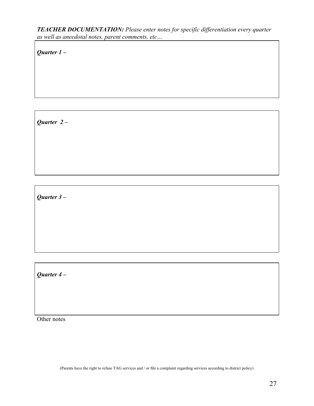*TEACHER DOCUMENTATION: Please enter notes for specific differentiation every quarter as well as anecdotal notes, parent comments, etc…*

*Quarter 1 –*

*Quarter 2 –*

*Quarter 3 –*

*Quarter 4 –*

Other notes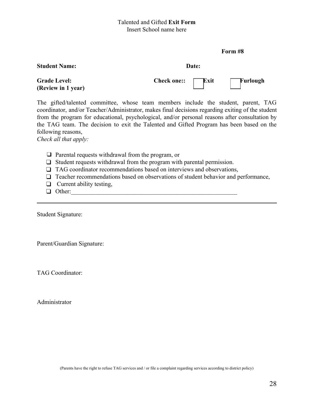#### Talented and Gifted **Exit Form** Insert School name here

#### **Form #8**

#### **Student Name:** Date:



The gifted/talented committee, whose team members include the student, parent, TAG coordinator, and/or Teacher/Administrator, makes final decisions regarding exiting of the student from the program for educational, psychological, and/or personal reasons after consultation by the TAG team. The decision to exit the Talented and Gifted Program has been based on the following reasons,

*Check all that apply:*

- ❑ Parental requests withdrawal from the program, or
- ❑ Student requests withdrawal from the program with parental permission.
- □ TAG coordinator recommendations based on interviews and observations,
- □ Teacher recommendations based on observations of student behavior and performance,
- ❑ Current ability testing,
- $\Box$  Other:

Student Signature:

Parent/Guardian Signature:

TAG Coordinator:

Administrator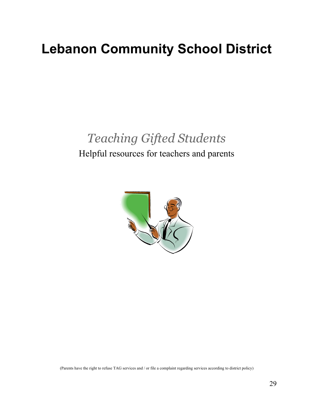## **Lebanon Community School District**

## *Teaching Gifted Students*

## Helpful resources for teachers and parents

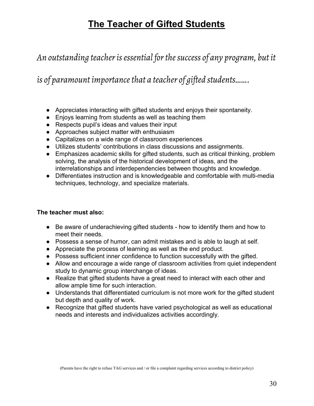## **The Teacher of Gifted Students**

*An outstanding teacherisessential forthesuccess of any program, but it*

*is* of paramount *importance that a teacher* of gifted *students*.......

- Appreciates interacting with gifted students and enjoys their spontaneity.
- Enjoys learning from students as well as teaching them
- Respects pupil's ideas and values their input
- Approaches subject matter with enthusiasm
- Capitalizes on a wide range of classroom experiences
- Utilizes students' contributions in class discussions and assignments.
- Emphasizes academic skills for gifted students, such as critical thinking, problem solving, the analysis of the historical development of ideas, and the interrelationships and interdependencies between thoughts and knowledge.
- Differentiates instruction and is knowledgeable and comfortable with multi-media techniques, technology, and specialize materials.

#### **The teacher must also:**

- Be aware of underachieving gifted students how to identify them and how to meet their needs.
- Possess a sense of humor, can admit mistakes and is able to laugh at self.
- Appreciate the process of learning as well as the end product.
- Possess sufficient inner confidence to function successfully with the gifted.
- Allow and encourage a wide range of classroom activities from quiet independent study to dynamic group interchange of ideas.
- Realize that gifted students have a great need to interact with each other and allow ample time for such interaction.
- Understands that differentiated curriculum is not more work for the gifted student but depth and quality of work.
- Recognize that gifted students have varied psychological as well as educational needs and interests and individualizes activities accordingly.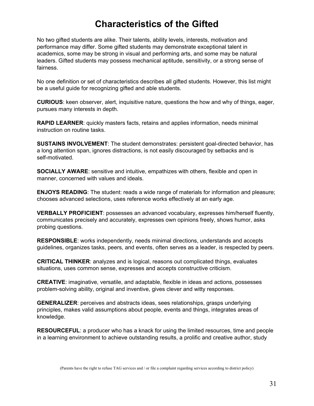## **Characteristics of the Gifted**

No two gifted students are alike. Their talents, ability levels, interests, motivation and performance may differ. Some gifted students may demonstrate exceptional talent in academics, some may be strong in visual and performing arts, and some may be natural leaders. Gifted students may possess mechanical aptitude, sensitivity, or a strong sense of fairness.

No one definition or set of characteristics describes all gifted students. However, this list might be a useful guide for recognizing gifted and able students.

**CURIOUS**: keen observer, alert, inquisitive nature, questions the how and why of things, eager, pursues many interests in depth.

**RAPID LEARNER:** quickly masters facts, retains and applies information, needs minimal instruction on routine tasks.

**SUSTAINS INVOLVEMENT**: The student demonstrates: persistent goal-directed behavior, has a long attention span, ignores distractions, is not easily discouraged by setbacks and is self-motivated.

**SOCIALLY AWARE**: sensitive and intuitive, empathizes with others, flexible and open in manner, concerned with values and ideals.

**ENJOYS READING**: The student: reads a wide range of materials for information and pleasure; chooses advanced selections, uses reference works effectively at an early age.

**VERBALLY PROFICIENT**: possesses an advanced vocabulary, expresses him/herself fluently, communicates precisely and accurately, expresses own opinions freely, shows humor, asks probing questions.

**RESPONSIBLE**: works independently, needs minimal directions, understands and accepts guidelines, organizes tasks, peers, and events, often serves as a leader, is respected by peers.

**CRITICAL THINKER**: analyzes and is logical, reasons out complicated things, evaluates situations, uses common sense, expresses and accepts constructive criticism.

**CREATIVE**: imaginative, versatile, and adaptable, flexible in ideas and actions, possesses problem-solving ability, original and inventive, gives clever and witty responses.

**GENERALIZER**: perceives and abstracts ideas, sees relationships, grasps underlying principles, makes valid assumptions about people, events and things, integrates areas of knowledge.

**RESOURCEFUL**: a producer who has a knack for using the limited resources, time and people in a learning environment to achieve outstanding results, a prolific and creative author, study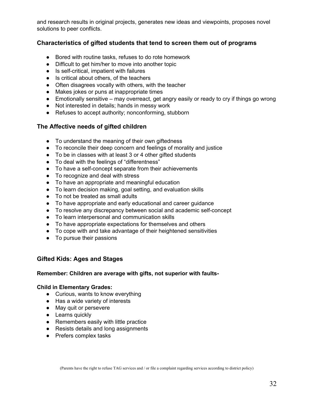and research results in original projects, generates new ideas and viewpoints, proposes novel solutions to peer conflicts.

#### **Characteristics of gifted students that tend to screen them out of programs**

- Bored with routine tasks, refuses to do rote homework
- Difficult to get him/her to move into another topic
- Is self-critical, impatient with failures
- Is critical about others, of the teachers
- Often disagrees vocally with others, with the teacher
- Makes jokes or puns at inappropriate times
- Emotionally sensitive may overreact, get angry easily or ready to cry if things go wrong
- Not interested in details; hands in messy work
- Refuses to accept authority; nonconforming, stubborn

#### **The Affective needs of gifted children**

- To understand the meaning of their own giftedness
- To reconcile their deep concern and feelings of morality and justice
- To be in classes with at least 3 or 4 other gifted students
- To deal with the feelings of "differentness"
- To have a self-concept separate from their achievements
- To recognize and deal with stress
- To have an appropriate and meaningful education
- To learn decision making, goal setting, and evaluation skills
- To not be treated as small adults
- To have appropriate and early educational and career guidance
- To resolve any discrepancy between social and academic self-concept
- To learn interpersonal and communication skills
- To have appropriate expectations for themselves and others
- To cope with and take advantage of their heightened sensitivities
- To pursue their passions

#### **Gifted Kids: Ages and Stages**

#### **Remember: Children are average with gifts, not superior with faults-**

#### **Child in Elementary Grades:**

- Curious, wants to know everything
- Has a wide variety of interests
- May quit or persevere
- Learns quickly
- Remembers easily with little practice
- Resists details and long assignments
- Prefers complex tasks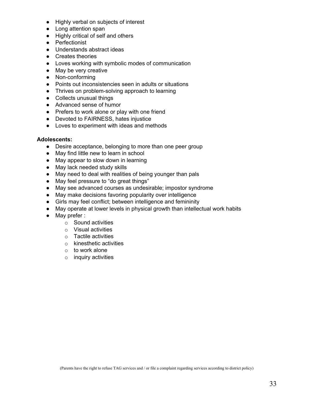- Highly verbal on subjects of interest
- Long attention span
- Highly critical of self and others
- Perfectionist
- Understands abstract ideas
- Creates theories
- Loves working with symbolic modes of communication
- May be very creative
- Non-conforming
- Points out inconsistencies seen in adults or situations
- Thrives on problem-solving approach to learning
- Collects unusual things
- Advanced sense of humor
- Prefers to work alone or play with one friend
- Devoted to FAIRNESS, hates injustice
- Loves to experiment with ideas and methods

#### **Adolescents:**

- Desire acceptance, belonging to more than one peer group
- May find little new to learn in school
- May appear to slow down in learning
- May lack needed study skills
- May need to deal with realities of being younger than pals
- May feel pressure to "do great things"
- May see advanced courses as undesirable; impostor syndrome
- May make decisions favoring popularity over intelligence
- Girls may feel conflict; between intelligence and femininity
- May operate at lower levels in physical growth than intellectual work habits
- May prefer :
	- o Sound activities
	- o Visual activities
	- o Tactile activities
	- o kinesthetic activities
	- $\circ$  to work alone
	- $\circ$  inquiry activities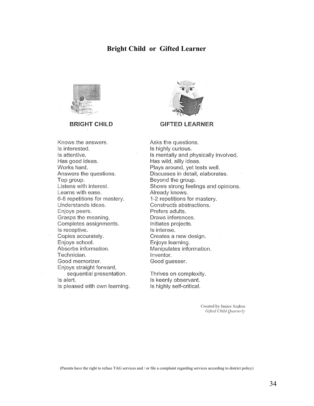#### **Bright Child or Gifted Learner**



#### **BRIGHT CHILD**



#### **GIFTED LEARNER**

Knows the answers. Is interested. Is attentive. Has good ideas. Works hard. Answers the questions. Top group. Listens with interest. Learns with ease. 6-8 repetitions for mastery. Understands ideas. Enjoys peers. Grasps the meaning. Completes assignments. Is receptive. Copies accurately. Enjoys school. Absorbs information. Technician. Good memorizer. Enjoys straight forward, sequential presentation. Is alert.

Is pleased with own learning.

Asks the questions. Is highly curious. Is mentally and physically involved. Has wild, silly ideas. Plays around, yet tests well. Discusses in detail, elaborates. Beyond the group. Shows strong feelings and opinions. Already knows. 1-2 repetitions for mastery. Constructs abstractions. Prefers adults. Draws inferences. Initiates projects. Is intense. Creates a new design. Enjoys learning. Manipulates information. Inventor. Good guesser.

Thrives on complexity. Is keenly observant. Is highly self-critical.

> Created by Janice Szabos Gifted Child Quarterly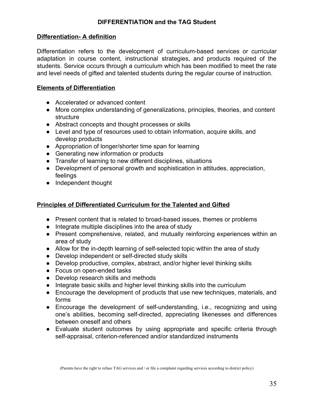#### **Differentiation- A definition**

Differentiation refers to the development of curriculum-based services or curricular adaptation in course content, instructional strategies, and products required of the students. Service occurs through a curriculum which has been modified to meet the rate and level needs of gifted and talented students during the regular course of instruction.

#### **Elements of Differentiation**

- Accelerated or advanced content
- More complex understanding of generalizations, principles, theories, and content structure
- Abstract concepts and thought processes or skills
- Level and type of resources used to obtain information, acquire skills, and develop products
- Appropriation of longer/shorter time span for learning
- Generating new information or products
- Transfer of learning to new different disciplines, situations
- Development of personal growth and sophistication in attitudes, appreciation, feelings
- Independent thought

#### **Principles of Differentiated Curriculum for the Talented and Gifted**

- Present content that is related to broad-based issues, themes or problems
- Integrate multiple disciplines into the area of study
- Present comprehensive, related, and mutually reinforcing experiences within an area of study
- Allow for the in-depth learning of self-selected topic within the area of study
- Develop independent or self-directed study skills
- Develop productive, complex, abstract, and/or higher level thinking skills
- Focus on open-ended tasks
- Develop research skills and methods
- Integrate basic skills and higher level thinking skills into the curriculum
- Encourage the development of products that use new techniques, materials, and forms
- Encourage the development of self-understanding, i.e., recognizing and using one's abilities, becoming self-directed, appreciating likenesses and differences between oneself and others
- Evaluate student outcomes by using appropriate and specific criteria through self-appraisal, criterion-referenced and/or standardized instruments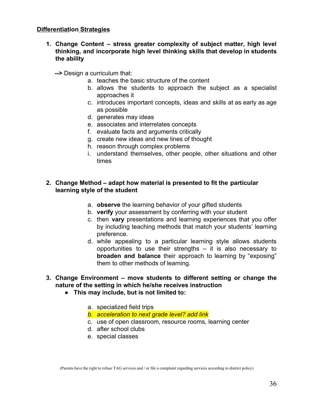#### **Differentiation Strategies**

- **1. Change Content – stress greater complexity of subject matter, high level thinking, and incorporate high level thinking skills that develop in students the ability**
	- **-->** Design a curriculum that:
		- a. teaches the basic structure of the content
		- b. allows the students to approach the subject as a specialist approaches it
		- c. introduces important concepts, ideas and skills at as early as age as possible
		- d. generates may ideas
		- e. associates and interrelates concepts
		- f. evaluate facts and arguments critically
		- g. create new ideas and new lines of thought
		- h. reason through complex problems
		- i. understand themselves, other people, other situations and other times

#### **2. Change Method – adapt how material is presented to fit the particular learning style of the student**

- a. **observe** the learning behavior of your gifted students
- b. **verify** your assessment by conferring with your student
- c. then **vary** presentations and learning experiences that you offer by including teaching methods that match your students' learning preference.
- d. while appealing to a particular learning style allows students opportunities to use their strengths – it is also necessary to **broaden and balance** their approach to learning by "exposing" them to other methods of learning.
- **3. Change Environment – move students to different setting or change the nature of the setting in which he/she receives instruction**
	- **● This may include, but is not limited to:**
		- a. specialized field trips
		- *b. acceleration to next grade level? add link*
		- c. use of open classroom, resource rooms, learning center
		- d. after school clubs
		- e. special classes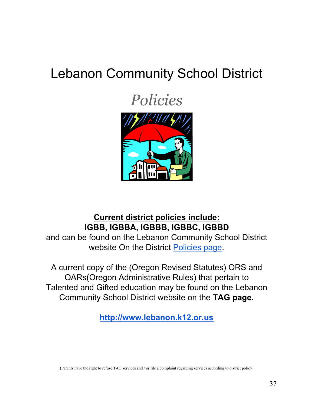## Lebanon Community School District

*Policies*



## **Current district policies include: IGBB, IGBBA, IGBBB, IGBBC, IGBBD**

and can be found on the Lebanon Community School District website On the District [Policies](http://lebanon.k12.or.us/board/policies/) page.

A current copy of the (Oregon Revised Statutes) ORS and OARs(Oregon Administrative Rules) that pertain to Talented and Gifted education may be found on the Lebanon Community School District website on the **TAG page.**

**[http://www.lebanon.k12.or.us](http://www.lebanon.k12.or.us/)**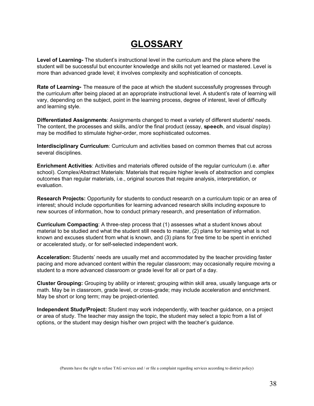## **GLOSSARY**

**Level of Learning-** The student's instructional level in the curriculum and the place where the student will be successful but encounter knowledge and skills not yet learned or mastered. Level is more than advanced grade level; it involves complexity and sophistication of concepts.

**Rate of Learning**- The measure of the pace at which the student successfully progresses through the curriculum after being placed at an appropriate instructional level. A student's rate of learning will vary, depending on the subject, point in the learning process, degree of interest, level of difficulty and learning style.

**Differentiated Assignments**: Assignments changed to meet a variety of different students' needs. The content, the processes and skills, and/or the final product (essay, speech, and visual display) may be modified to stimulate higher-order, more sophisticated outcomes.

**Interdisciplinary Curriculum**: Curriculum and activities based on common themes that cut across several disciplines.

**Enrichment Activities**: Activities and materials offered outside of the regular curriculum (i.e. after school). Complex/Abstract Materials: Materials that require higher levels of abstraction and complex outcomes than regular materials, i.e., original sources that require analysis, interpretation, or evaluation.

**Research Projects:** Opportunity for students to conduct research on a curriculum topic or an area of interest; should include opportunities for learning advanced research skills including exposure to new sources of information, how to conduct primary research, and presentation of information.

**Curriculum Compacting**: A three-step process that (1) assesses what a student knows about material to be studied and what the student still needs to master, (2) plans for learning what is not known and excuses student from what is known, and (3) plans for free time to be spent in enriched or accelerated study, or for self-selected independent work.

**Acceleration:** Students' needs are usually met and accommodated by the teacher providing faster pacing and more advanced content within the regular classroom; may occasionally require moving a student to a more advanced classroom or grade level for all or part of a day.

**Cluster Grouping:** Grouping by ability or interest; grouping within skill area, usually language arts or math. May be in classroom, grade level, or cross-grade; may include acceleration and enrichment. May be short or long term; may be project-oriented.

**Independent Study/Project:** Student may work independently, with teacher guidance, on a project or area of study. The teacher may assign the topic, the student may select a topic from a list of options, or the student may design his/her own project with the teacher's guidance.